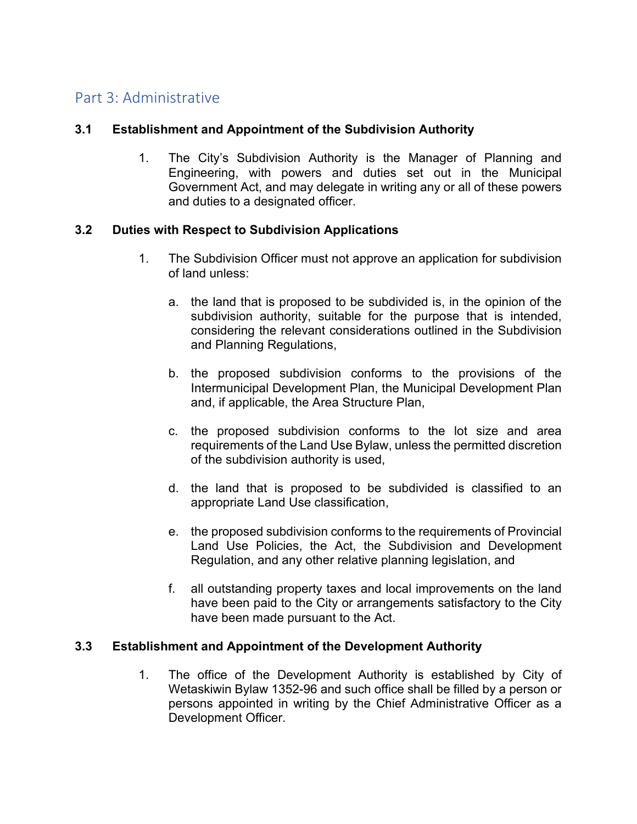# Part 3: Administrative

#### **3.1 Establishment and Appointment of the Subdivision Authority**

1. The City's Subdivision Authority is the Manager of Planning and Engineering, with powers and duties set out in the Municipal Government Act, and may delegate in writing any or all of these powers and duties to a designated officer.

#### **3.2 Duties with Respect to Subdivision Applications**

- 1. The Subdivision Officer must not approve an application for subdivision of land unless:
	- a. the land that is proposed to be subdivided is, in the opinion of the subdivision authority, suitable for the purpose that is intended, considering the relevant considerations outlined in the Subdivision and Planning Regulations,
	- b. the proposed subdivision conforms to the provisions of the Intermunicipal Development Plan, the Municipal Development Plan and, if applicable, the Area Structure Plan,
	- c. the proposed subdivision conforms to the lot size and area requirements of the Land Use Bylaw, unless the permitted discretion of the subdivision authority is used,
	- d. the land that is proposed to be subdivided is classified to an appropriate Land Use classification,
	- e. the proposed subdivision conforms to the requirements of Provincial Land Use Policies, the Act, the Subdivision and Development Regulation, and any other relative planning legislation, and
	- f. all outstanding property taxes and local improvements on the land have been paid to the City or arrangements satisfactory to the City have been made pursuant to the Act.

#### **3.3 Establishment and Appointment of the Development Authority**

1. The office of the Development Authority is established by City of Wetaskiwin Bylaw 1352-96 and such office shall be filled by a person or persons appointed in writing by the Chief Administrative Officer as a Development Officer.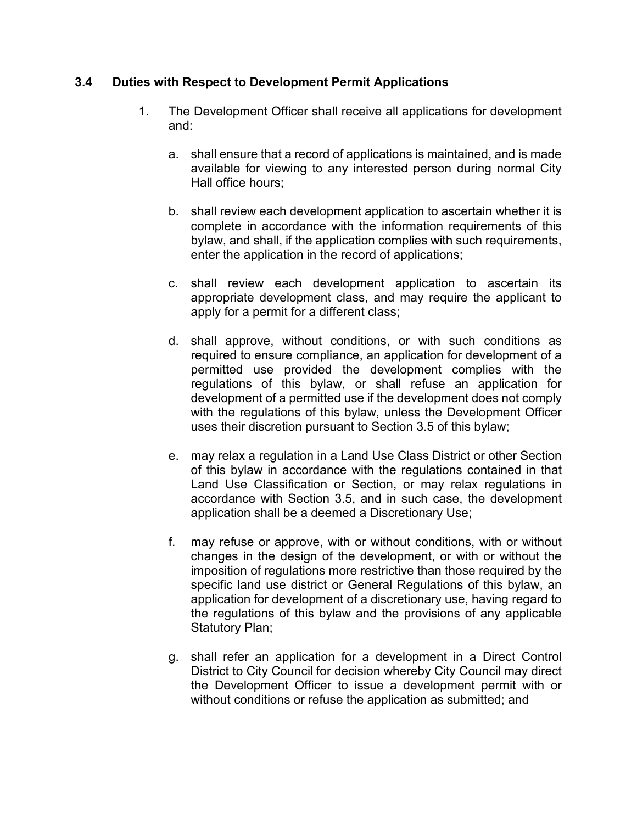#### **3.4 Duties with Respect to Development Permit Applications**

- 1. The Development Officer shall receive all applications for development and:
	- a. shall ensure that a record of applications is maintained, and is made available for viewing to any interested person during normal City Hall office hours;
	- b. shall review each development application to ascertain whether it is complete in accordance with the information requirements of this bylaw, and shall, if the application complies with such requirements, enter the application in the record of applications;
	- c. shall review each development application to ascertain its appropriate development class, and may require the applicant to apply for a permit for a different class;
	- d. shall approve, without conditions, or with such conditions as required to ensure compliance, an application for development of a permitted use provided the development complies with the regulations of this bylaw, or shall refuse an application for development of a permitted use if the development does not comply with the regulations of this bylaw, unless the Development Officer uses their discretion pursuant to Section 3.5 of this bylaw;
	- e. may relax a regulation in a Land Use Class District or other Section of this bylaw in accordance with the regulations contained in that Land Use Classification or Section, or may relax regulations in accordance with Section 3.5, and in such case, the development application shall be a deemed a Discretionary Use;
	- f. may refuse or approve, with or without conditions, with or without changes in the design of the development, or with or without the imposition of regulations more restrictive than those required by the specific land use district or General Regulations of this bylaw, an application for development of a discretionary use, having regard to the regulations of this bylaw and the provisions of any applicable Statutory Plan;
	- g. shall refer an application for a development in a Direct Control District to City Council for decision whereby City Council may direct the Development Officer to issue a development permit with or without conditions or refuse the application as submitted; and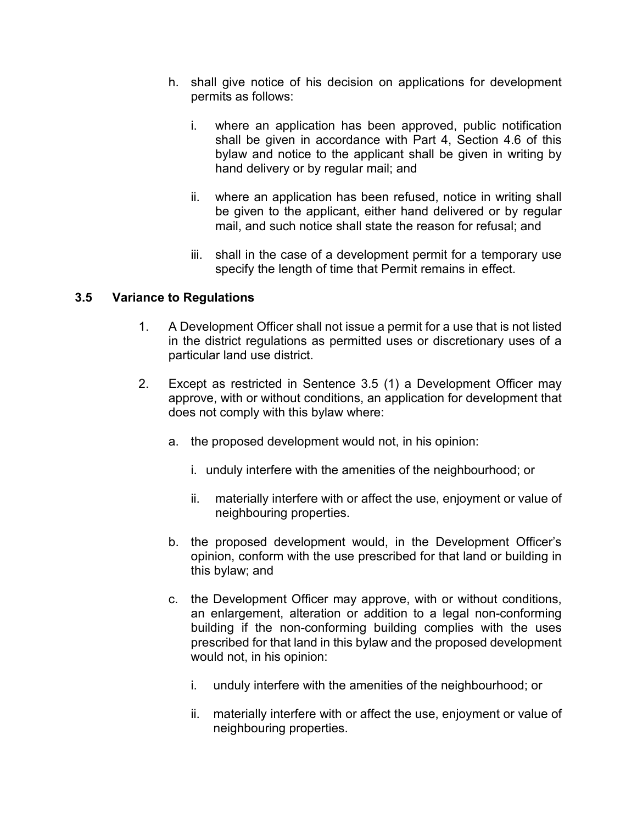- h. shall give notice of his decision on applications for development permits as follows:
	- i. where an application has been approved, public notification shall be given in accordance with Part 4, Section 4.6 of this bylaw and notice to the applicant shall be given in writing by hand delivery or by regular mail; and
	- ii. where an application has been refused, notice in writing shall be given to the applicant, either hand delivered or by regular mail, and such notice shall state the reason for refusal; and
	- iii. shall in the case of a development permit for a temporary use specify the length of time that Permit remains in effect.

# **3.5 Variance to Regulations**

- 1. A Development Officer shall not issue a permit for a use that is not listed in the district regulations as permitted uses or discretionary uses of a particular land use district.
- 2. Except as restricted in Sentence 3.5 (1) a Development Officer may approve, with or without conditions, an application for development that does not comply with this bylaw where:
	- a. the proposed development would not, in his opinion:
		- i. unduly interfere with the amenities of the neighbourhood; or
		- ii. materially interfere with or affect the use, enjoyment or value of neighbouring properties.
	- b. the proposed development would, in the Development Officer's opinion, conform with the use prescribed for that land or building in this bylaw; and
	- c. the Development Officer may approve, with or without conditions, an enlargement, alteration or addition to a legal non-conforming building if the non-conforming building complies with the uses prescribed for that land in this bylaw and the proposed development would not, in his opinion:
		- i. unduly interfere with the amenities of the neighbourhood; or
		- ii. materially interfere with or affect the use, enjoyment or value of neighbouring properties.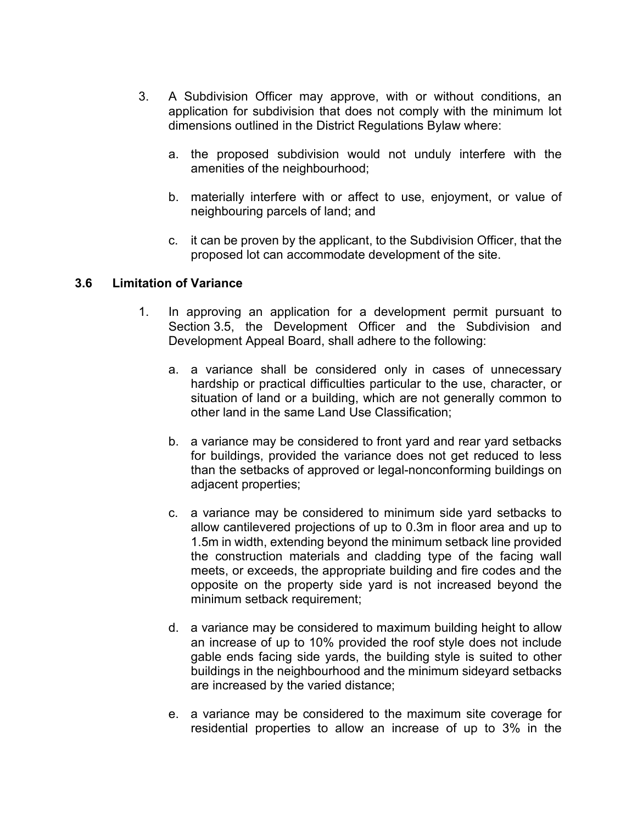- 3. A Subdivision Officer may approve, with or without conditions, an application for subdivision that does not comply with the minimum lot dimensions outlined in the District Regulations Bylaw where:
	- a. the proposed subdivision would not unduly interfere with the amenities of the neighbourhood;
	- b. materially interfere with or affect to use, enjoyment, or value of neighbouring parcels of land; and
	- c. it can be proven by the applicant, to the Subdivision Officer, that the proposed lot can accommodate development of the site.

#### **3.6 Limitation of Variance**

- 1. In approving an application for a development permit pursuant to Section 3.5, the Development Officer and the Subdivision and Development Appeal Board, shall adhere to the following:
	- a. a variance shall be considered only in cases of unnecessary hardship or practical difficulties particular to the use, character, or situation of land or a building, which are not generally common to other land in the same Land Use Classification;
	- b. a variance may be considered to front yard and rear yard setbacks for buildings, provided the variance does not get reduced to less than the setbacks of approved or legal-nonconforming buildings on adjacent properties;
	- c. a variance may be considered to minimum side yard setbacks to allow cantilevered projections of up to 0.3m in floor area and up to 1.5m in width, extending beyond the minimum setback line provided the construction materials and cladding type of the facing wall meets, or exceeds, the appropriate building and fire codes and the opposite on the property side yard is not increased beyond the minimum setback requirement;
	- d. a variance may be considered to maximum building height to allow an increase of up to 10% provided the roof style does not include gable ends facing side yards, the building style is suited to other buildings in the neighbourhood and the minimum sideyard setbacks are increased by the varied distance;
	- e. a variance may be considered to the maximum site coverage for residential properties to allow an increase of up to 3% in the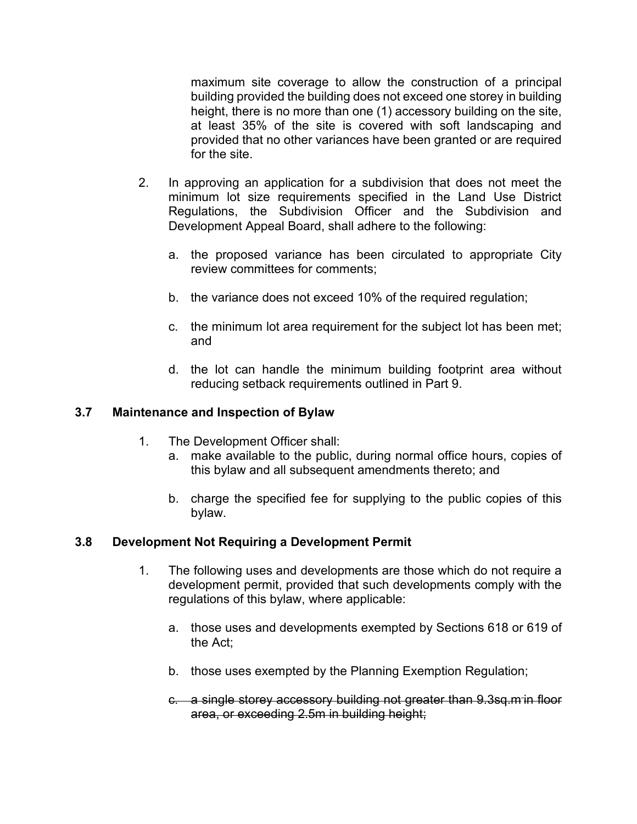maximum site coverage to allow the construction of a principal building provided the building does not exceed one storey in building height, there is no more than one (1) accessory building on the site, at least 35% of the site is covered with soft landscaping and provided that no other variances have been granted or are required for the site.

- 2. In approving an application for a subdivision that does not meet the minimum lot size requirements specified in the Land Use District Regulations, the Subdivision Officer and the Subdivision and Development Appeal Board, shall adhere to the following:
	- a. the proposed variance has been circulated to appropriate City review committees for comments;
	- b. the variance does not exceed 10% of the required regulation;
	- c. the minimum lot area requirement for the subject lot has been met; and
	- d. the lot can handle the minimum building footprint area without reducing setback requirements outlined in Part 9.

# **3.7 Maintenance and Inspection of Bylaw**

- 1. The Development Officer shall:
	- a. make available to the public, during normal office hours, copies of this bylaw and all subsequent amendments thereto; and
	- b. charge the specified fee for supplying to the public copies of this bylaw.

# **3.8 Development Not Requiring a Development Permit**

- 1. The following uses and developments are those which do not require a development permit, provided that such developments comply with the regulations of this bylaw, where applicable:
	- a. those uses and developments exempted by Sections 618 or 619 of the Act;
	- b. those uses exempted by the Planning Exemption Regulation;
	- c. a single storey accessory building not greater than 9.3sq.m in floor area, or exceeding 2.5m in building height;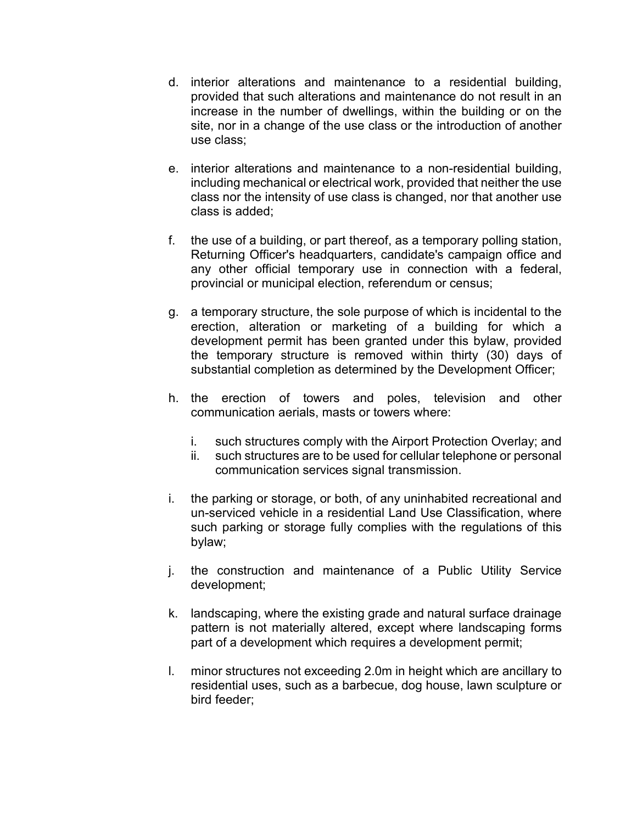- d. interior alterations and maintenance to a residential building, provided that such alterations and maintenance do not result in an increase in the number of dwellings, within the building or on the site, nor in a change of the use class or the introduction of another use class;
- e. interior alterations and maintenance to a non-residential building, including mechanical or electrical work, provided that neither the use class nor the intensity of use class is changed, nor that another use class is added;
- f. the use of a building, or part thereof, as a temporary polling station, Returning Officer's headquarters, candidate's campaign office and any other official temporary use in connection with a federal, provincial or municipal election, referendum or census;
- g. a temporary structure, the sole purpose of which is incidental to the erection, alteration or marketing of a building for which a development permit has been granted under this bylaw, provided the temporary structure is removed within thirty (30) days of substantial completion as determined by the Development Officer;
- h. the erection of towers and poles, television and other communication aerials, masts or towers where:
	- i. such structures comply with the Airport Protection Overlay; and
	- ii. such structures are to be used for cellular telephone or personal communication services signal transmission.
- i. the parking or storage, or both, of any uninhabited recreational and un-serviced vehicle in a residential Land Use Classification, where such parking or storage fully complies with the regulations of this bylaw;
- j. the construction and maintenance of a Public Utility Service development;
- k. landscaping, where the existing grade and natural surface drainage pattern is not materially altered, except where landscaping forms part of a development which requires a development permit;
- l. minor structures not exceeding 2.0m in height which are ancillary to residential uses, such as a barbecue, dog house, lawn sculpture or bird feeder;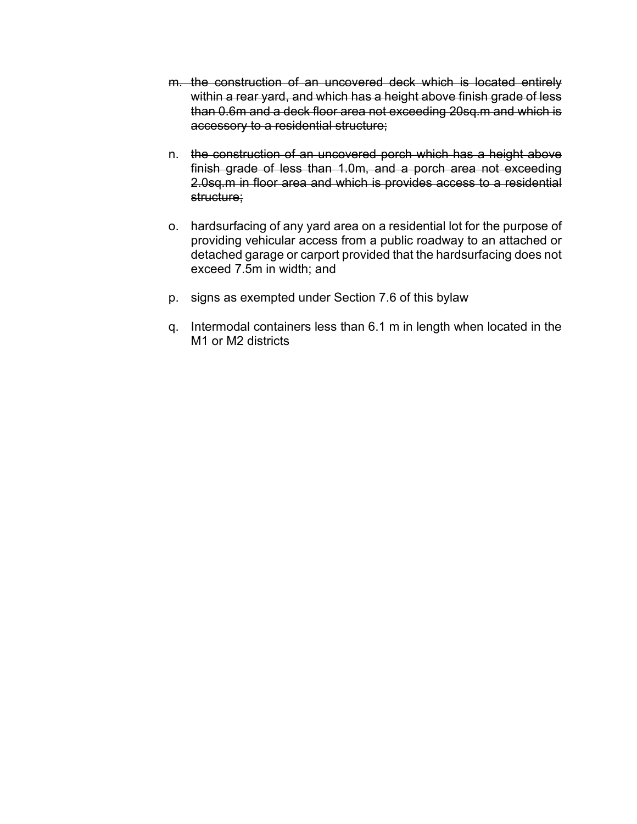- m. the construction of an uncovered deck which is located entirely within a rear yard, and which has a height above finish grade of less than 0.6m and a deck floor area not exceeding 20sq.m and which is accessory to a residential structure;
- n. the construction of an uncovered porch which has a height above finish grade of less than 1.0m, and a porch area not exceeding 2.0sq.m in floor area and which is provides access to a residential structure;
- o. hardsurfacing of any yard area on a residential lot for the purpose of providing vehicular access from a public roadway to an attached or detached garage or carport provided that the hardsurfacing does not exceed 7.5m in width; and
- p. signs as exempted under Section 7.6 of this bylaw
- q. Intermodal containers less than 6.1 m in length when located in the M1 or M2 districts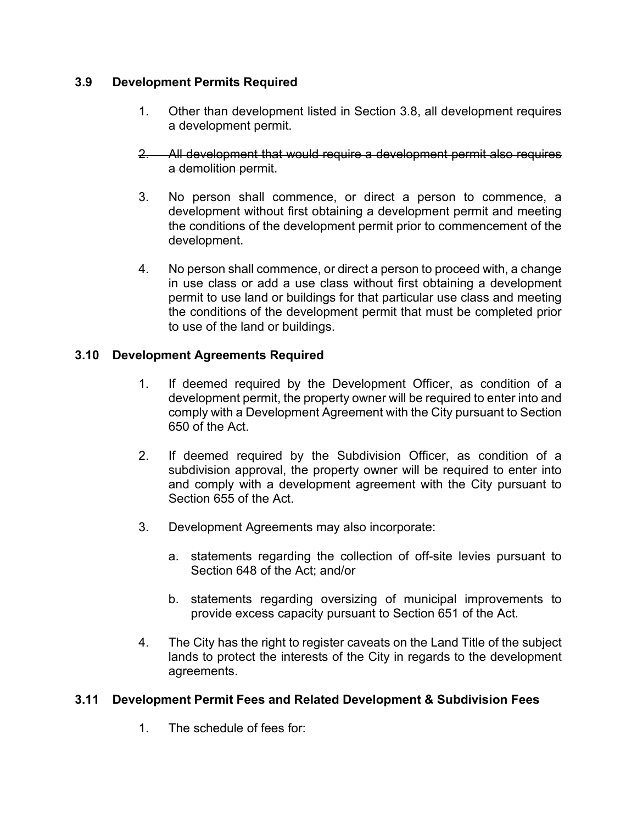#### **3.9 Development Permits Required**

- 1. Other than development listed in Section 3.8, all development requires a development permit.
- 2. All development that would require a development permit also requires a demolition permit.
- 3. No person shall commence, or direct a person to commence, a development without first obtaining a development permit and meeting the conditions of the development permit prior to commencement of the development.
- 4. No person shall commence, or direct a person to proceed with, a change in use class or add a use class without first obtaining a development permit to use land or buildings for that particular use class and meeting the conditions of the development permit that must be completed prior to use of the land or buildings.

# **3.10 Development Agreements Required**

- 1. If deemed required by the Development Officer, as condition of a development permit, the property owner will be required to enter into and comply with a Development Agreement with the City pursuant to Section 650 of the Act.
- 2. If deemed required by the Subdivision Officer, as condition of a subdivision approval, the property owner will be required to enter into and comply with a development agreement with the City pursuant to Section 655 of the Act.
- 3. Development Agreements may also incorporate:
	- a. statements regarding the collection of off-site levies pursuant to Section 648 of the Act; and/or
	- b. statements regarding oversizing of municipal improvements to provide excess capacity pursuant to Section 651 of the Act.
- 4. The City has the right to register caveats on the Land Title of the subject lands to protect the interests of the City in regards to the development agreements.

# **3.11 Development Permit Fees and Related Development & Subdivision Fees**

1. The schedule of fees for: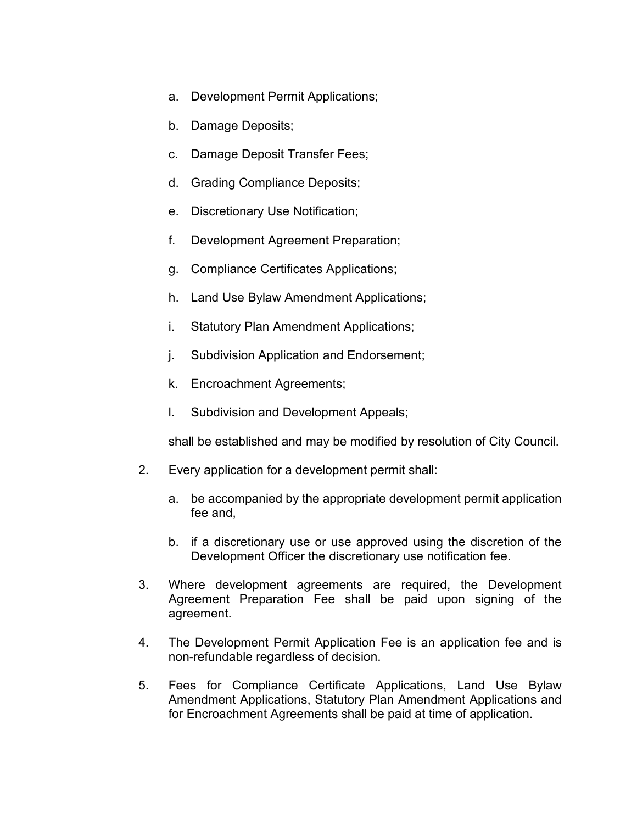- a. Development Permit Applications;
- b. Damage Deposits;
- c. Damage Deposit Transfer Fees;
- d. Grading Compliance Deposits;
- e. Discretionary Use Notification;
- f. Development Agreement Preparation;
- g. Compliance Certificates Applications;
- h. Land Use Bylaw Amendment Applications;
- i. Statutory Plan Amendment Applications;
- j. Subdivision Application and Endorsement;
- k. Encroachment Agreements;
- l. Subdivision and Development Appeals;

shall be established and may be modified by resolution of City Council.

- 2. Every application for a development permit shall:
	- a. be accompanied by the appropriate development permit application fee and,
	- b. if a discretionary use or use approved using the discretion of the Development Officer the discretionary use notification fee.
- 3. Where development agreements are required, the Development Agreement Preparation Fee shall be paid upon signing of the agreement.
- 4. The Development Permit Application Fee is an application fee and is non-refundable regardless of decision.
- 5. Fees for Compliance Certificate Applications, Land Use Bylaw Amendment Applications, Statutory Plan Amendment Applications and for Encroachment Agreements shall be paid at time of application.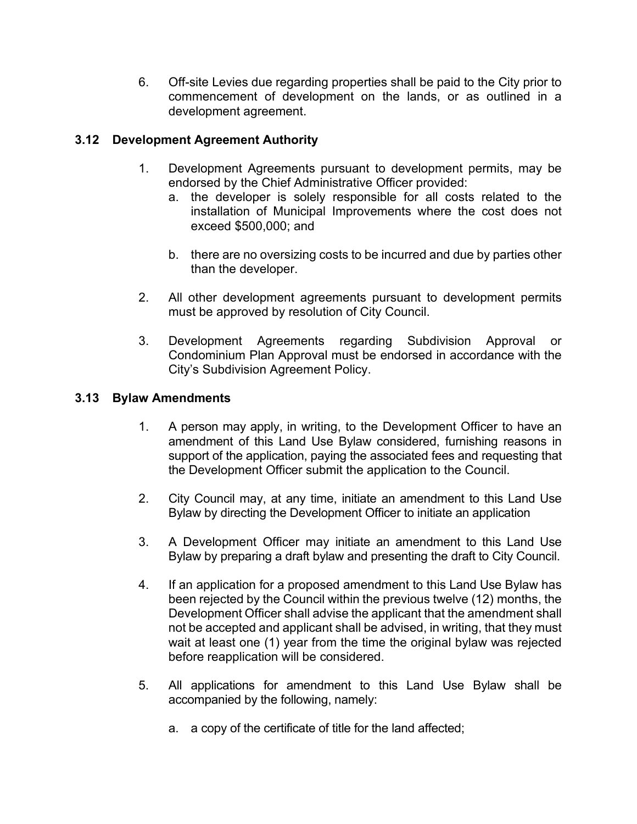6. Off-site Levies due regarding properties shall be paid to the City prior to commencement of development on the lands, or as outlined in a development agreement.

# **3.12 Development Agreement Authority**

- 1. Development Agreements pursuant to development permits, may be endorsed by the Chief Administrative Officer provided:
	- a. the developer is solely responsible for all costs related to the installation of Municipal Improvements where the cost does not exceed \$500,000; and
	- b. there are no oversizing costs to be incurred and due by parties other than the developer.
- 2. All other development agreements pursuant to development permits must be approved by resolution of City Council.
- 3. Development Agreements regarding Subdivision Approval or Condominium Plan Approval must be endorsed in accordance with the City's Subdivision Agreement Policy.

#### **3.13 Bylaw Amendments**

- 1. A person may apply, in writing, to the Development Officer to have an amendment of this Land Use Bylaw considered, furnishing reasons in support of the application, paying the associated fees and requesting that the Development Officer submit the application to the Council.
- 2. City Council may, at any time, initiate an amendment to this Land Use Bylaw by directing the Development Officer to initiate an application
- 3. A Development Officer may initiate an amendment to this Land Use Bylaw by preparing a draft bylaw and presenting the draft to City Council.
- 4. If an application for a proposed amendment to this Land Use Bylaw has been rejected by the Council within the previous twelve (12) months, the Development Officer shall advise the applicant that the amendment shall not be accepted and applicant shall be advised, in writing, that they must wait at least one (1) year from the time the original bylaw was rejected before reapplication will be considered.
- 5. All applications for amendment to this Land Use Bylaw shall be accompanied by the following, namely:
	- a. a copy of the certificate of title for the land affected;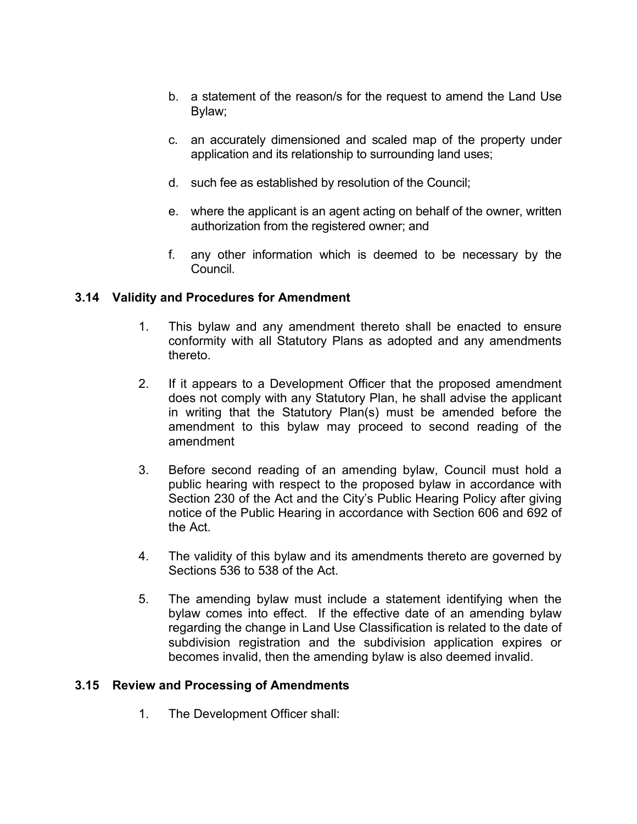- b. a statement of the reason/s for the request to amend the Land Use Bylaw;
- c. an accurately dimensioned and scaled map of the property under application and its relationship to surrounding land uses;
- d. such fee as established by resolution of the Council;
- e. where the applicant is an agent acting on behalf of the owner, written authorization from the registered owner; and
- f. any other information which is deemed to be necessary by the Council.

#### **3.14 Validity and Procedures for Amendment**

- 1. This bylaw and any amendment thereto shall be enacted to ensure conformity with all Statutory Plans as adopted and any amendments thereto.
- 2. If it appears to a Development Officer that the proposed amendment does not comply with any Statutory Plan, he shall advise the applicant in writing that the Statutory Plan(s) must be amended before the amendment to this bylaw may proceed to second reading of the amendment
- 3. Before second reading of an amending bylaw, Council must hold a public hearing with respect to the proposed bylaw in accordance with Section 230 of the Act and the City's Public Hearing Policy after giving notice of the Public Hearing in accordance with Section 606 and 692 of the Act.
- 4. The validity of this bylaw and its amendments thereto are governed by Sections 536 to 538 of the Act.
- 5. The amending bylaw must include a statement identifying when the bylaw comes into effect. If the effective date of an amending bylaw regarding the change in Land Use Classification is related to the date of subdivision registration and the subdivision application expires or becomes invalid, then the amending bylaw is also deemed invalid.

#### **3.15 Review and Processing of Amendments**

1. The Development Officer shall: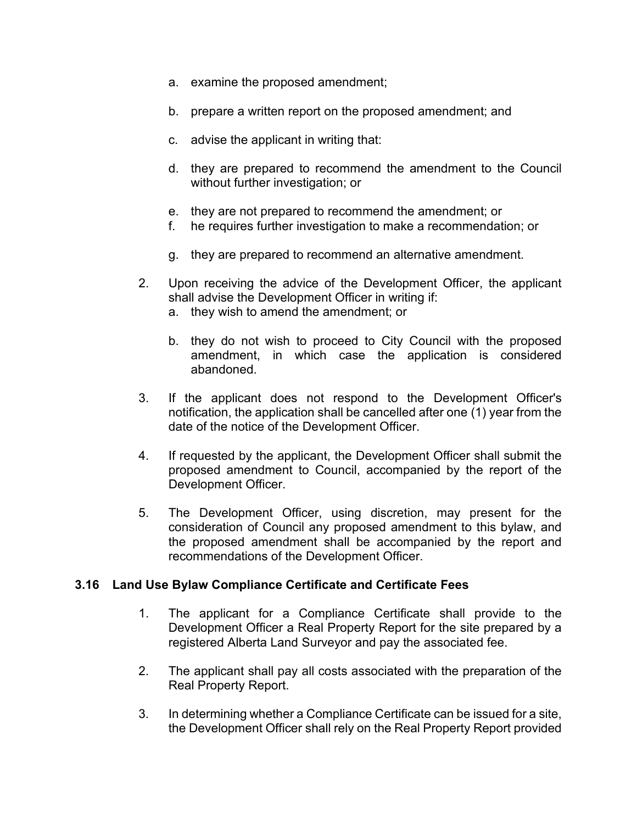- a. examine the proposed amendment;
- b. prepare a written report on the proposed amendment; and
- c. advise the applicant in writing that:
- d. they are prepared to recommend the amendment to the Council without further investigation; or
- e. they are not prepared to recommend the amendment; or
- f. he requires further investigation to make a recommendation; or
- g. they are prepared to recommend an alternative amendment.
- 2. Upon receiving the advice of the Development Officer, the applicant shall advise the Development Officer in writing if:
	- a. they wish to amend the amendment; or
	- b. they do not wish to proceed to City Council with the proposed amendment, in which case the application is considered abandoned.
- 3. If the applicant does not respond to the Development Officer's notification, the application shall be cancelled after one (1) year from the date of the notice of the Development Officer.
- 4. If requested by the applicant, the Development Officer shall submit the proposed amendment to Council, accompanied by the report of the Development Officer.
- 5. The Development Officer, using discretion, may present for the consideration of Council any proposed amendment to this bylaw, and the proposed amendment shall be accompanied by the report and recommendations of the Development Officer.

#### **3.16 Land Use Bylaw Compliance Certificate and Certificate Fees**

- 1. The applicant for a Compliance Certificate shall provide to the Development Officer a Real Property Report for the site prepared by a registered Alberta Land Surveyor and pay the associated fee.
- 2. The applicant shall pay all costs associated with the preparation of the Real Property Report.
- 3. In determining whether a Compliance Certificate can be issued for a site, the Development Officer shall rely on the Real Property Report provided